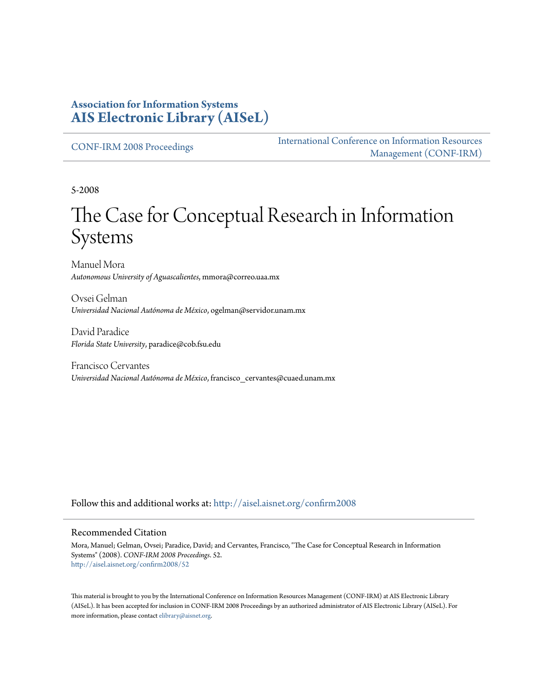#### **Association for Information Systems [AIS Electronic Library \(AISeL\)](http://aisel.aisnet.org?utm_source=aisel.aisnet.org%2Fconfirm2008%2F52&utm_medium=PDF&utm_campaign=PDFCoverPages)**

[CONF-IRM 2008 Proceedings](http://aisel.aisnet.org/confirm2008?utm_source=aisel.aisnet.org%2Fconfirm2008%2F52&utm_medium=PDF&utm_campaign=PDFCoverPages)

[International Conference on Information Resources](http://aisel.aisnet.org/conf-irm?utm_source=aisel.aisnet.org%2Fconfirm2008%2F52&utm_medium=PDF&utm_campaign=PDFCoverPages) [Management \(CONF-IRM\)](http://aisel.aisnet.org/conf-irm?utm_source=aisel.aisnet.org%2Fconfirm2008%2F52&utm_medium=PDF&utm_campaign=PDFCoverPages)

5-2008

# The Case for Conceptual Research in Information Systems

Manuel Mora *Autonomous University of Aguascalientes*, mmora@correo.uaa.mx

Ovsei Gelman *Universidad Nacional Autónoma de México*, ogelman@servidor.unam.mx

David Paradice *Florida State University*, paradice@cob.fsu.edu

Francisco Cervantes *Universidad Nacional Autónoma de México*, francisco\_cervantes@cuaed.unam.mx

Follow this and additional works at: [http://aisel.aisnet.org/confirm2008](http://aisel.aisnet.org/confirm2008?utm_source=aisel.aisnet.org%2Fconfirm2008%2F52&utm_medium=PDF&utm_campaign=PDFCoverPages)

#### Recommended Citation

Mora, Manuel; Gelman, Ovsei; Paradice, David; and Cervantes, Francisco, "The Case for Conceptual Research in Information Systems" (2008). *CONF-IRM 2008 Proceedings*. 52. [http://aisel.aisnet.org/confirm2008/52](http://aisel.aisnet.org/confirm2008/52?utm_source=aisel.aisnet.org%2Fconfirm2008%2F52&utm_medium=PDF&utm_campaign=PDFCoverPages)

This material is brought to you by the International Conference on Information Resources Management (CONF-IRM) at AIS Electronic Library (AISeL). It has been accepted for inclusion in CONF-IRM 2008 Proceedings by an authorized administrator of AIS Electronic Library (AISeL). For more information, please contact [elibrary@aisnet.org.](mailto:elibrary@aisnet.org%3E)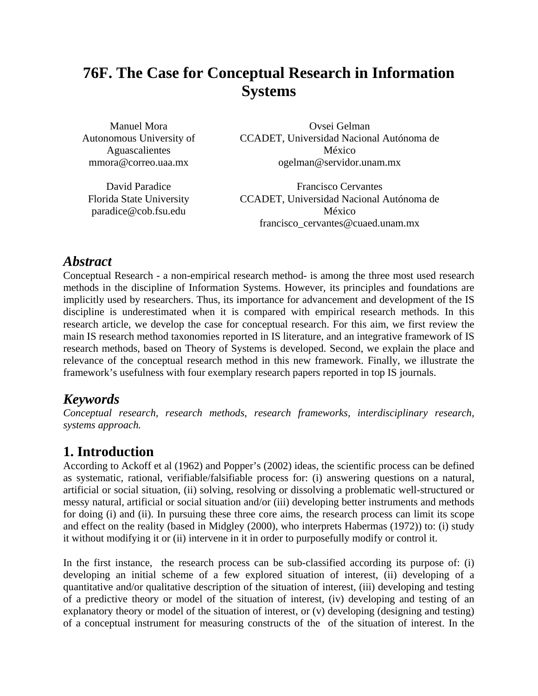# **76F. The Case for Conceptual Research in Information Systems**

Manuel Mora Autonomous University of Aguascalientes mmora@correo.uaa.mx

David Paradice Florida State University paradice@cob.fsu.edu

Ovsei Gelman CCADET, Universidad Nacional Autónoma de México ogelman@servidor.unam.mx

Francisco Cervantes CCADET, Universidad Nacional Autónoma de México francisco\_cervantes@cuaed.unam.mx

## *Abstract*

Conceptual Research - a non-empirical research method- is among the three most used research methods in the discipline of Information Systems. However, its principles and foundations are implicitly used by researchers. Thus, its importance for advancement and development of the IS discipline is underestimated when it is compared with empirical research methods. In this research article, we develop the case for conceptual research. For this aim, we first review the main IS research method taxonomies reported in IS literature, and an integrative framework of IS research methods, based on Theory of Systems is developed. Second, we explain the place and relevance of the conceptual research method in this new framework. Finally, we illustrate the framework's usefulness with four exemplary research papers reported in top IS journals.

# *Keywords*

*Conceptual research, research methods, research frameworks, interdisciplinary research, systems approach.*

# **1. Introduction**

According to Ackoff et al (1962) and Popper's (2002) ideas, the scientific process can be defined as systematic, rational, verifiable/falsifiable process for: (i) answering questions on a natural, artificial or social situation, (ii) solving, resolving or dissolving a problematic well-structured or messy natural, artificial or social situation and/or (iii) developing better instruments and methods for doing (i) and (ii). In pursuing these three core aims, the research process can limit its scope and effect on the reality (based in Midgley (2000), who interprets Habermas (1972)) to: (i) study it without modifying it or (ii) intervene in it in order to purposefully modify or control it.

In the first instance, the research process can be sub-classified according its purpose of: (i) developing an initial scheme of a few explored situation of interest, (ii) developing of a quantitative and/or qualitative description of the situation of interest, (iii) developing and testing of a predictive theory or model of the situation of interest, (iv) developing and testing of an explanatory theory or model of the situation of interest, or (v) developing (designing and testing) of a conceptual instrument for measuring constructs of the of the situation of interest. In the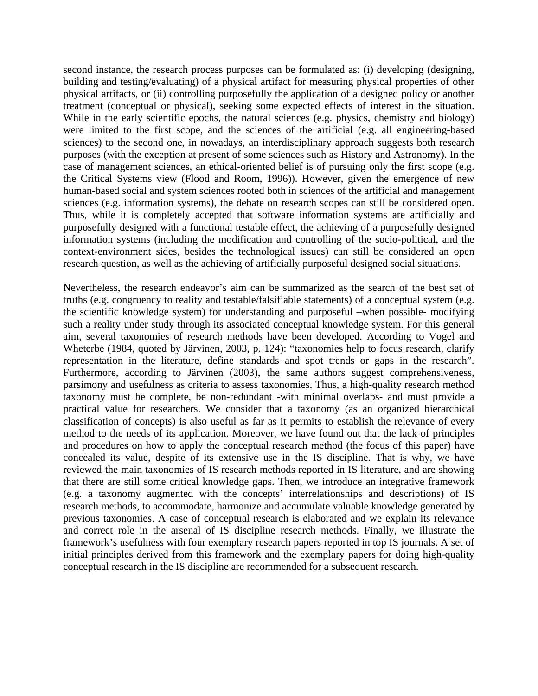second instance, the research process purposes can be formulated as: (i) developing (designing, building and testing/evaluating) of a physical artifact for measuring physical properties of other physical artifacts, or (ii) controlling purposefully the application of a designed policy or another treatment (conceptual or physical), seeking some expected effects of interest in the situation. While in the early scientific epochs, the natural sciences (e.g. physics, chemistry and biology) were limited to the first scope, and the sciences of the artificial (e.g. all engineering-based sciences) to the second one, in nowadays, an interdisciplinary approach suggests both research purposes (with the exception at present of some sciences such as History and Astronomy). In the case of management sciences, an ethical-oriented belief is of pursuing only the first scope (e.g. the Critical Systems view (Flood and Room, 1996)). However, given the emergence of new human-based social and system sciences rooted both in sciences of the artificial and management sciences (e.g. information systems), the debate on research scopes can still be considered open. Thus, while it is completely accepted that software information systems are artificially and purposefully designed with a functional testable effect, the achieving of a purposefully designed information systems (including the modification and controlling of the socio-political, and the context-environment sides, besides the technological issues) can still be considered an open research question, as well as the achieving of artificially purposeful designed social situations.

Nevertheless, the research endeavor's aim can be summarized as the search of the best set of truths (e.g. congruency to reality and testable/falsifiable statements) of a conceptual system (e.g. the scientific knowledge system) for understanding and purposeful –when possible- modifying such a reality under study through its associated conceptual knowledge system. For this general aim, several taxonomies of research methods have been developed. According to Vogel and Wheterbe (1984, quoted by Järvinen, 2003, p. 124): "taxonomies help to focus research, clarify representation in the literature, define standards and spot trends or gaps in the research". Furthermore, according to Järvinen (2003), the same authors suggest comprehensiveness, parsimony and usefulness as criteria to assess taxonomies. Thus, a high-quality research method taxonomy must be complete, be non-redundant -with minimal overlaps- and must provide a practical value for researchers. We consider that a taxonomy (as an organized hierarchical classification of concepts) is also useful as far as it permits to establish the relevance of every method to the needs of its application. Moreover, we have found out that the lack of principles and procedures on how to apply the conceptual research method (the focus of this paper) have concealed its value, despite of its extensive use in the IS discipline. That is why, we have reviewed the main taxonomies of IS research methods reported in IS literature, and are showing that there are still some critical knowledge gaps. Then, we introduce an integrative framework (e.g. a taxonomy augmented with the concepts' interrelationships and descriptions) of IS research methods, to accommodate, harmonize and accumulate valuable knowledge generated by previous taxonomies. A case of conceptual research is elaborated and we explain its relevance and correct role in the arsenal of IS discipline research methods. Finally, we illustrate the framework's usefulness with four exemplary research papers reported in top IS journals. A set of initial principles derived from this framework and the exemplary papers for doing high-quality conceptual research in the IS discipline are recommended for a subsequent research.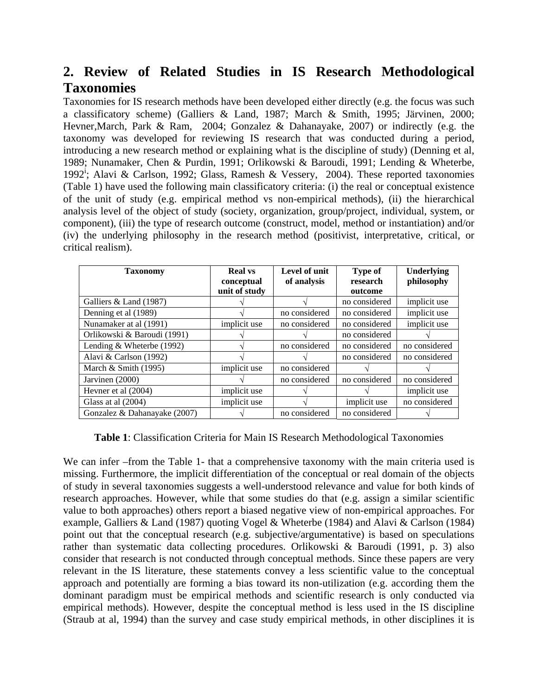# **2. Review of Related Studies in IS Research Methodological Taxonomies**

Taxonomies for IS research methods have been developed either directly (e.g. the focus was such a classificatory scheme) (Galliers & Land, 1987; March & Smith, 1995; Järvinen, 2000; Hevner,March, Park & Ram, 2004; Gonzalez & Dahanayake, 2007) or indirectly (e.g. the taxonomy was developed for reviewing IS research that was conducted during a period, introducing a new research method or explaining what is the discipline of study) (Denning et al, 1989; Nunamaker, Chen & Purdin, 1991; Orlikowski & Baroudi, 1991; Lending & Wheterbe, 1992<sup>i</sup>; Alavi & Carlson, 1992; Glass, Ramesh & Vessery, 2004). These reported taxonomies (Table 1) have used the following main classificatory criteria: (i) the real or conceptual existence of the unit of study (e.g. empirical method vs non-empirical methods), (ii) the hierarchical analysis level of the object of study (society, organization, group/project, individual, system, or component), (iii) the type of research outcome (construct, model, method or instantiation) and/or (iv) the underlying philosophy in the research method (positivist, interpretative, critical, or critical realism).

| <b>Taxonomy</b>              | <b>Real</b> vs<br>conceptual<br>unit of study | Level of unit<br>of analysis | <b>Type of</b><br>research<br>outcome | Underlying<br>philosophy |
|------------------------------|-----------------------------------------------|------------------------------|---------------------------------------|--------------------------|
| Galliers & Land (1987)       |                                               |                              | no considered                         | implicit use             |
| Denning et al (1989)         |                                               | no considered                | no considered                         | implicit use             |
| Nunamaker at al (1991)       | implicit use                                  | no considered                | no considered                         | implicit use             |
| Orlikowski & Baroudi (1991)  |                                               |                              | no considered                         |                          |
| Lending & Wheterbe (1992)    |                                               | no considered                | no considered                         | no considered            |
| Alavi & Carlson (1992)       |                                               |                              | no considered                         | no considered            |
| March $&$ Smith (1995)       | implicit use                                  | no considered                |                                       |                          |
| Jarvinen (2000)              |                                               | no considered                | no considered                         | no considered            |
| Hevner et al (2004)          | implicit use                                  |                              |                                       | implicit use             |
| Glass at al $(2004)$         | implicit use                                  |                              | implicit use                          | no considered            |
| Gonzalez & Dahanayake (2007) |                                               | no considered                | no considered                         |                          |

**Table 1**: Classification Criteria for Main IS Research Methodological Taxonomies

We can infer –from the Table 1- that a comprehensive taxonomy with the main criteria used is missing. Furthermore, the implicit differentiation of the conceptual or real domain of the objects of study in several taxonomies suggests a well-understood relevance and value for both kinds of research approaches. However, while that some studies do that (e.g. assign a similar scientific value to both approaches) others report a biased negative view of non-empirical approaches. For example, Galliers & Land (1987) quoting Vogel & Wheterbe (1984) and Alavi & Carlson (1984) point out that the conceptual research (e.g. subjective/argumentative) is based on speculations rather than systematic data collecting procedures. Orlikowski & Baroudi (1991, p. 3) also consider that research is not conducted through conceptual methods. Since these papers are very relevant in the IS literature, these statements convey a less scientific value to the conceptual approach and potentially are forming a bias toward its non-utilization (e.g. according them the dominant paradigm must be empirical methods and scientific research is only conducted via empirical methods). However, despite the conceptual method is less used in the IS discipline (Straub at al, 1994) than the survey and case study empirical methods, in other disciplines it is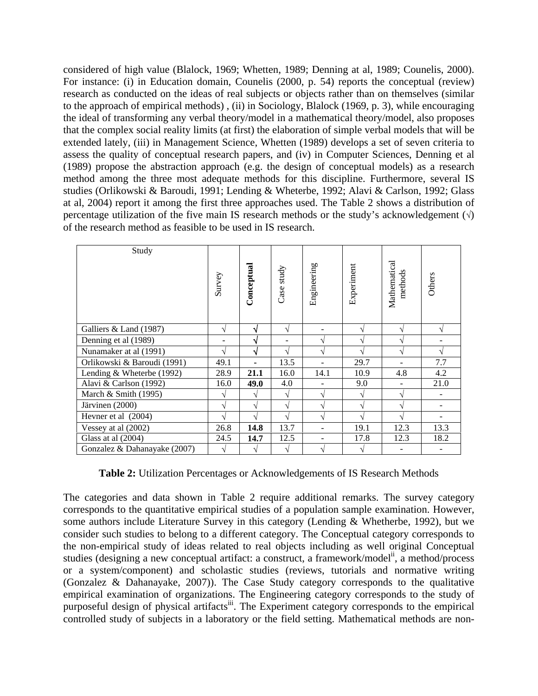considered of high value (Blalock, 1969; Whetten, 1989; Denning at al, 1989; Counelis, 2000). For instance: (i) in Education domain, Counelis (2000, p. 54) reports the conceptual (review) research as conducted on the ideas of real subjects or objects rather than on themselves (similar to the approach of empirical methods) , (ii) in Sociology, Blalock (1969, p. 3), while encouraging the ideal of transforming any verbal theory/model in a mathematical theory/model, also proposes that the complex social reality limits (at first) the elaboration of simple verbal models that will be extended lately, (iii) in Management Science, Whetten (1989) develops a set of seven criteria to assess the quality of conceptual research papers, and (iv) in Computer Sciences, Denning et al (1989) propose the abstraction approach (e.g. the design of conceptual models) as a research method among the three most adequate methods for this discipline. Furthermore, several IS studies (Orlikowski & Baroudi, 1991; Lending & Wheterbe, 1992; Alavi & Carlson, 1992; Glass at al, 2004) report it among the first three approaches used. The Table 2 shows a distribution of percentage utilization of the five main IS research methods or the study's acknowledgement  $(\sqrt{)}$ of the research method as feasible to be used in IS research.

| Study                        | Survey        | Conceptual | Case study    | Engineering  | Experiment    | Mathematical<br>methods | Others |
|------------------------------|---------------|------------|---------------|--------------|---------------|-------------------------|--------|
|                              |               |            |               |              |               |                         |        |
| Galliers & Land (1987)       | V             | N          | N             |              | V             | ٦                       | N      |
| Denning et al (1989)         |               | N          |               | N            | $\mathcal{N}$ |                         |        |
| Nunamaker at al (1991)       | $\sqrt{ }$    | ٦J         | N             | N            | V             | N                       | N      |
| Orlikowski & Baroudi (1991)  | 49.1          |            | 13.5          |              | 29.7          |                         | 7.7    |
| Lending & Wheterbe (1992)    | 28.9          | 21.1       | 16.0          | 14.1         | 10.9          | 4.8                     | 4.2    |
| Alavi & Carlson (1992)       | 16.0          | 49.0       | 4.0           |              | 9.0           |                         | 21.0   |
| March $&$ Smith (1995)       | V             | V          | N             | V            | V             |                         |        |
| Järvinen (2000)              | $\sqrt{ }$    | N          | N             | اد           | N             |                         |        |
| Hevner et al (2004)          | $\mathcal{N}$ | ٦Ι         | $\Delta$      | ٦Ι           |               |                         |        |
| Vessey at al (2002)          | 26.8          | 14.8       | 13.7          |              | 19.1          | 12.3                    | 13.3   |
| Glass at al (2004)           | 24.5          | 14.7       | 12.5          |              | 17.8          | 12.3                    | 18.2   |
| Gonzalez & Dahanayake (2007) | $\mathcal{N}$ | N          | $\mathcal{L}$ | $\mathbf{A}$ | ٦Ι            |                         |        |

**Table 2:** Utilization Percentages or Acknowledgements of IS Research Methods

The categories and data shown in Table 2 require additional remarks. The survey category corresponds to the quantitative empirical studies of a population sample examination. However, some authors include Literature Survey in this category (Lending & Whetherbe, 1992), but we consider such studies to belong to a different category. The Conceptual category corresponds to the non-empirical study of ideas related to real objects including as well original Conceptual studies (designing a new conceptual artifact: a construct, a framework/model<sup>ii</sup>, a method/process or a system/component) and scholastic studies (reviews, tutorials and normative writing (Gonzalez & Dahanayake, 2007)). The Case Study category corresponds to the qualitative empirical examination of organizations. The Engineering category corresponds to the study of purposeful design of physical artifactsiii. The Experiment category corresponds to the empirical controlled study of subjects in a laboratory or the field setting. Mathematical methods are non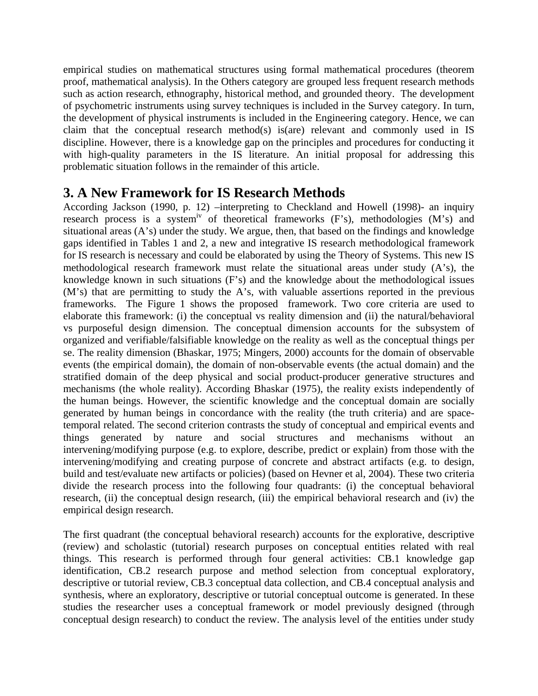empirical studies on mathematical structures using formal mathematical procedures (theorem proof, mathematical analysis). In the Others category are grouped less frequent research methods such as action research, ethnography, historical method, and grounded theory. The development of psychometric instruments using survey techniques is included in the Survey category. In turn, the development of physical instruments is included in the Engineering category. Hence, we can claim that the conceptual research method(s) is(are) relevant and commonly used in IS discipline. However, there is a knowledge gap on the principles and procedures for conducting it with high-quality parameters in the IS literature. An initial proposal for addressing this problematic situation follows in the remainder of this article.

### **3. A New Framework for IS Research Methods**

According Jackson (1990, p. 12) –interpreting to Checkland and Howell (1998)- an inquiry research process is a system<sup>iv</sup> of theoretical frameworks (F's), methodologies (M's) and situational areas (A's) under the study. We argue, then, that based on the findings and knowledge gaps identified in Tables 1 and 2, a new and integrative IS research methodological framework for IS research is necessary and could be elaborated by using the Theory of Systems. This new IS methodological research framework must relate the situational areas under study (A's), the knowledge known in such situations (F's) and the knowledge about the methodological issues (M's) that are permitting to study the A's, with valuable assertions reported in the previous frameworks. The Figure 1 shows the proposed framework. Two core criteria are used to elaborate this framework: (i) the conceptual vs reality dimension and (ii) the natural/behavioral vs purposeful design dimension. The conceptual dimension accounts for the subsystem of organized and verifiable/falsifiable knowledge on the reality as well as the conceptual things per se. The reality dimension (Bhaskar, 1975; Mingers, 2000) accounts for the domain of observable events (the empirical domain), the domain of non-observable events (the actual domain) and the stratified domain of the deep physical and social product-producer generative structures and mechanisms (the whole reality). According Bhaskar (1975), the reality exists independently of the human beings. However, the scientific knowledge and the conceptual domain are socially generated by human beings in concordance with the reality (the truth criteria) and are spacetemporal related. The second criterion contrasts the study of conceptual and empirical events and things generated by nature and social structures and mechanisms without an intervening/modifying purpose (e.g. to explore, describe, predict or explain) from those with the intervening/modifying and creating purpose of concrete and abstract artifacts (e.g. to design, build and test/evaluate new artifacts or policies) (based on Hevner et al, 2004). These two criteria divide the research process into the following four quadrants: (i) the conceptual behavioral research, (ii) the conceptual design research, (iii) the empirical behavioral research and (iv) the empirical design research.

The first quadrant (the conceptual behavioral research) accounts for the explorative, descriptive (review) and scholastic (tutorial) research purposes on conceptual entities related with real things. This research is performed through four general activities: CB.1 knowledge gap identification, CB.2 research purpose and method selection from conceptual exploratory, descriptive or tutorial review, CB.3 conceptual data collection, and CB.4 conceptual analysis and synthesis, where an exploratory, descriptive or tutorial conceptual outcome is generated. In these studies the researcher uses a conceptual framework or model previously designed (through conceptual design research) to conduct the review. The analysis level of the entities under study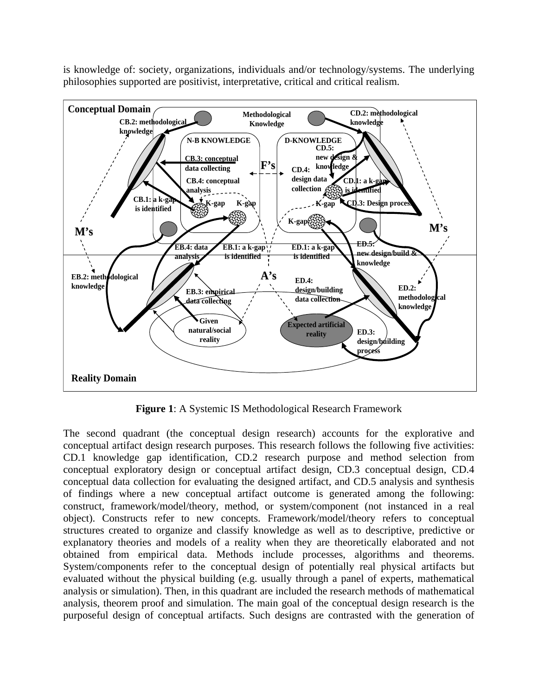is knowledge of: society, organizations, individuals and/or technology/systems. The underlying philosophies supported are positivist, interpretative, critical and critical realism.



**Figure 1**: A Systemic IS Methodological Research Framework

The second quadrant (the conceptual design research) accounts for the explorative and conceptual artifact design research purposes. This research follows the following five activities: CD.1 knowledge gap identification, CD.2 research purpose and method selection from conceptual exploratory design or conceptual artifact design, CD.3 conceptual design, CD.4 conceptual data collection for evaluating the designed artifact, and CD.5 analysis and synthesis of findings where a new conceptual artifact outcome is generated among the following: construct, framework/model/theory, method, or system/component (not instanced in a real object). Constructs refer to new concepts. Framework/model/theory refers to conceptual structures created to organize and classify knowledge as well as to descriptive, predictive or explanatory theories and models of a reality when they are theoretically elaborated and not obtained from empirical data. Methods include processes, algorithms and theorems. System/components refer to the conceptual design of potentially real physical artifacts but evaluated without the physical building (e.g. usually through a panel of experts, mathematical analysis or simulation). Then, in this quadrant are included the research methods of mathematical analysis, theorem proof and simulation. The main goal of the conceptual design research is the purposeful design of conceptual artifacts. Such designs are contrasted with the generation of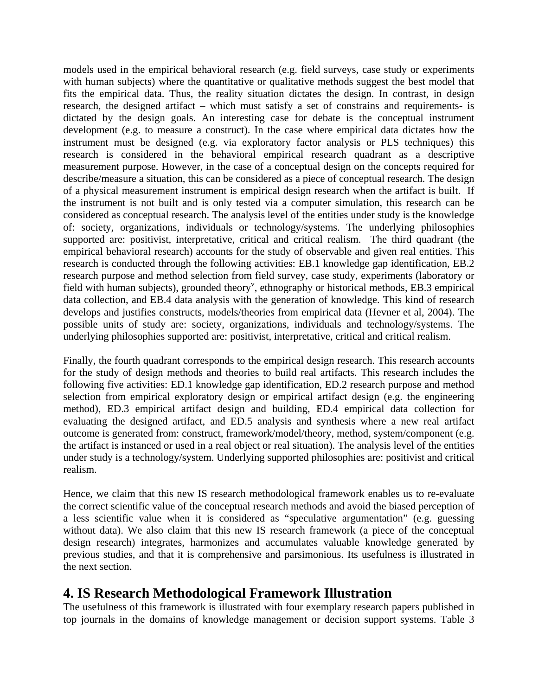models used in the empirical behavioral research (e.g. field surveys, case study or experiments with human subjects) where the quantitative or qualitative methods suggest the best model that fits the empirical data. Thus, the reality situation dictates the design. In contrast, in design research, the designed artifact – which must satisfy a set of constrains and requirements- is dictated by the design goals. An interesting case for debate is the conceptual instrument development (e.g. to measure a construct). In the case where empirical data dictates how the instrument must be designed (e.g. via exploratory factor analysis or PLS techniques) this research is considered in the behavioral empirical research quadrant as a descriptive measurement purpose. However, in the case of a conceptual design on the concepts required for describe/measure a situation, this can be considered as a piece of conceptual research. The design of a physical measurement instrument is empirical design research when the artifact is built. If the instrument is not built and is only tested via a computer simulation, this research can be considered as conceptual research. The analysis level of the entities under study is the knowledge of: society, organizations, individuals or technology/systems. The underlying philosophies supported are: positivist, interpretative, critical and critical realism. The third quadrant (the empirical behavioral research) accounts for the study of observable and given real entities. This research is conducted through the following activities: EB.1 knowledge gap identification, EB.2 research purpose and method selection from field survey, case study, experiments (laboratory or field with human subjects), grounded theory<sup>v</sup>, ethnography or historical methods, EB.3 empirical data collection, and EB.4 data analysis with the generation of knowledge. This kind of research develops and justifies constructs, models/theories from empirical data (Hevner et al, 2004). The possible units of study are: society, organizations, individuals and technology/systems. The underlying philosophies supported are: positivist, interpretative, critical and critical realism.

Finally, the fourth quadrant corresponds to the empirical design research. This research accounts for the study of design methods and theories to build real artifacts. This research includes the following five activities: ED.1 knowledge gap identification, ED.2 research purpose and method selection from empirical exploratory design or empirical artifact design (e.g. the engineering method), ED.3 empirical artifact design and building, ED.4 empirical data collection for evaluating the designed artifact, and ED.5 analysis and synthesis where a new real artifact outcome is generated from: construct, framework/model/theory, method, system/component (e.g. the artifact is instanced or used in a real object or real situation). The analysis level of the entities under study is a technology/system. Underlying supported philosophies are: positivist and critical realism.

Hence, we claim that this new IS research methodological framework enables us to re-evaluate the correct scientific value of the conceptual research methods and avoid the biased perception of a less scientific value when it is considered as "speculative argumentation" (e.g. guessing without data). We also claim that this new IS research framework (a piece of the conceptual design research) integrates, harmonizes and accumulates valuable knowledge generated by previous studies, and that it is comprehensive and parsimonious. Its usefulness is illustrated in the next section.

# **4. IS Research Methodological Framework Illustration**

The usefulness of this framework is illustrated with four exemplary research papers published in top journals in the domains of knowledge management or decision support systems. Table 3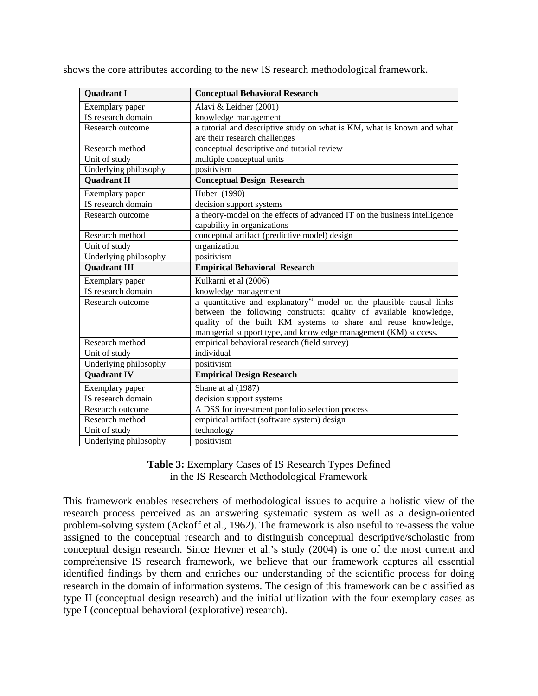shows the core attributes according to the new IS research methodological framework.

| <b>Quadrant I</b>     | <b>Conceptual Behavioral Research</b>                                            |
|-----------------------|----------------------------------------------------------------------------------|
| Exemplary paper       | Alavi & Leidner (2001)                                                           |
| IS research domain    | knowledge management                                                             |
| Research outcome      | a tutorial and descriptive study on what is KM, what is known and what           |
|                       | are their research challenges                                                    |
| Research method       | conceptual descriptive and tutorial review                                       |
| Unit of study         | multiple conceptual units                                                        |
| Underlying philosophy | positivism                                                                       |
| <b>Quadrant II</b>    | <b>Conceptual Design Research</b>                                                |
| Exemplary paper       | Huber (1990)                                                                     |
| IS research domain    | decision support systems                                                         |
| Research outcome      | a theory-model on the effects of advanced IT on the business intelligence        |
|                       | capability in organizations                                                      |
| Research method       | conceptual artifact (predictive model) design                                    |
| Unit of study         | organization                                                                     |
| Underlying philosophy | positivism                                                                       |
| <b>Quadrant III</b>   | <b>Empirical Behavioral Research</b>                                             |
| Exemplary paper       | Kulkarni et al (2006)                                                            |
| IS research domain    | knowledge management                                                             |
| Research outcome      | a quantitative and explanatory <sup>vi</sup> model on the plausible causal links |
|                       | between the following constructs: quality of available knowledge,                |
|                       | quality of the built KM systems to share and reuse knowledge,                    |
|                       | managerial support type, and knowledge management (KM) success.                  |
| Research method       | empirical behavioral research (field survey)                                     |
| Unit of study         | individual                                                                       |
| Underlying philosophy | positivism                                                                       |
| <b>Quadrant IV</b>    | <b>Empirical Design Research</b>                                                 |
| Exemplary paper       | Shane at al (1987)                                                               |
| IS research domain    | decision support systems                                                         |
| Research outcome      | A DSS for investment portfolio selection process                                 |
| Research method       | empirical artifact (software system) design                                      |
| Unit of study         | technology                                                                       |
| Underlying philosophy | positivism                                                                       |

#### **Table 3:** Exemplary Cases of IS Research Types Defined in the IS Research Methodological Framework

This framework enables researchers of methodological issues to acquire a holistic view of the research process perceived as an answering systematic system as well as a design-oriented problem-solving system (Ackoff et al., 1962). The framework is also useful to re-assess the value assigned to the conceptual research and to distinguish conceptual descriptive/scholastic from conceptual design research. Since Hevner et al.'s study (2004) is one of the most current and comprehensive IS research framework, we believe that our framework captures all essential identified findings by them and enriches our understanding of the scientific process for doing research in the domain of information systems. The design of this framework can be classified as type II (conceptual design research) and the initial utilization with the four exemplary cases as type I (conceptual behavioral (explorative) research).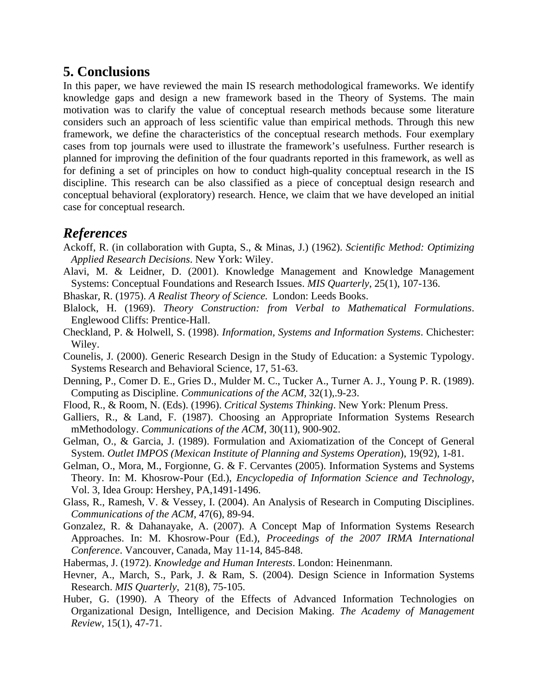## **5. Conclusions**

In this paper, we have reviewed the main IS research methodological frameworks. We identify knowledge gaps and design a new framework based in the Theory of Systems. The main motivation was to clarify the value of conceptual research methods because some literature considers such an approach of less scientific value than empirical methods. Through this new framework, we define the characteristics of the conceptual research methods. Four exemplary cases from top journals were used to illustrate the framework's usefulness. Further research is planned for improving the definition of the four quadrants reported in this framework, as well as for defining a set of principles on how to conduct high-quality conceptual research in the IS discipline. This research can be also classified as a piece of conceptual design research and conceptual behavioral (exploratory) research. Hence, we claim that we have developed an initial case for conceptual research.

### *References*

- Ackoff, R. (in collaboration with Gupta, S., & Minas, J.) (1962). *Scientific Method: Optimizing Applied Research Decisions*. New York: Wiley.
- Alavi, M. & Leidner, D. (2001). Knowledge Management and Knowledge Management Systems: Conceptual Foundations and Research Issues. *MIS Quarterly*, 25(1), 107-136.
- Bhaskar, R. (1975). *A Realist Theory of Science.* London: Leeds Books.
- Blalock, H. (1969). *Theory Construction: from Verbal to Mathematical Formulations*. Englewood Cliffs: Prentice-Hall.
- Checkland, P. & Holwell, S. (1998). *Information, Systems and Information Systems*. Chichester: Wiley.
- Counelis, J. (2000). Generic Research Design in the Study of Education: a Systemic Typology. Systems Research and Behavioral Science, 17, 51-63.
- Denning, P., Comer D. E., Gries D., Mulder M. C., Tucker A., Turner A. J., Young P. R. (1989). Computing as Discipline. *Communications of the ACM,* 32(1),.9-23.
- Flood, R., & Room, N. (Eds). (1996). *Critical Systems Thinking*. New York: Plenum Press.
- Galliers, R., & Land, F. (1987). Choosing an Appropriate Information Systems Research mMethodology. *Communications of the ACM*, 30(11), 900-902.
- Gelman, O., & Garcia, J. (1989). Formulation and Axiomatization of the Concept of General System. *Outlet IMPOS (Mexican Institute of Planning and Systems Operation*), 19(92), 1-81.
- Gelman, O., Mora, M., Forgionne, G. & F. Cervantes (2005). Information Systems and Systems Theory. In: M. Khosrow-Pour (Ed.), *Encyclopedia of Information Science and Technology*, Vol. 3, Idea Group: Hershey, PA,1491-1496.
- Glass, R., Ramesh, V. & Vessey, I. (2004). An Analysis of Research in Computing Disciplines. *Communications of the ACM*, 47(6), 89-94.
- Gonzalez, R. & Dahanayake, A. (2007). A Concept Map of Information Systems Research Approaches. In: M. Khosrow-Pour (Ed.), *Proceedings of the 2007 IRMA International Conference*. Vancouver, Canada, May 11-14, 845-848.
- Habermas, J. (1972). *Knowledge and Human Interests*. London: Heinenmann.
- Hevner, A., March, S., Park, J. & Ram, S. (2004). Design Science in Information Systems Research. *MIS Quarterly*, 21(8), 75-105.
- Huber, G. (1990). A Theory of the Effects of Advanced Information Technologies on Organizational Design, Intelligence, and Decision Making. *The Academy of Management Review*, 15(1), 47-71.